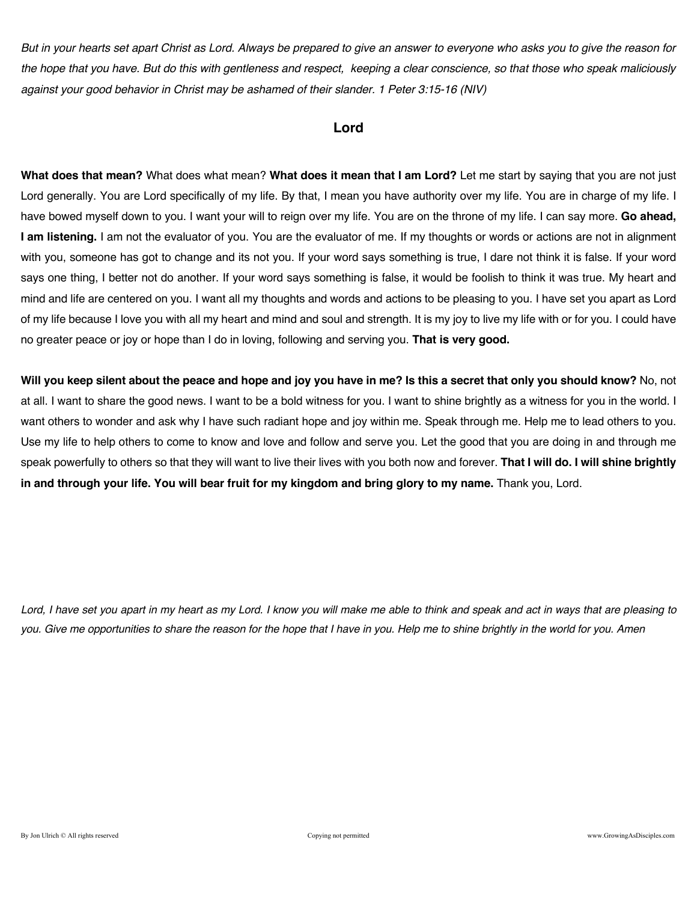*But in your hearts set apart Christ as Lord. Always be prepared to give an answer to everyone who asks you to give the reason for the hope that you have. But do this with gentleness and respect, keeping a clear conscience, so that those who speak maliciously against your good behavior in Christ may be ashamed of their slander. 1 Peter 3:15-16 (NIV)*

### **Lord**

**What does that mean?** What does what mean? **What does it mean that I am Lord?** Let me start by saying that you are not just Lord generally. You are Lord specifically of my life. By that, I mean you have authority over my life. You are in charge of my life. I have bowed myself down to you. I want your will to reign over my life. You are on the throne of my life. I can say more. **Go ahead, I am listening.** I am not the evaluator of you. You are the evaluator of me. If my thoughts or words or actions are not in alignment with you, someone has got to change and its not you. If your word says something is true, I dare not think it is false. If your word says one thing, I better not do another. If your word says something is false, it would be foolish to think it was true. My heart and mind and life are centered on you. I want all my thoughts and words and actions to be pleasing to you. I have set you apart as Lord of my life because I love you with all my heart and mind and soul and strength. It is my joy to live my life with or for you. I could have no greater peace or joy or hope than I do in loving, following and serving you. **That is very good.**

**Will you keep silent about the peace and hope and joy you have in me? Is this a secret that only you should know?** No, not at all. I want to share the good news. I want to be a bold witness for you. I want to shine brightly as a witness for you in the world. I want others to wonder and ask why I have such radiant hope and joy within me. Speak through me. Help me to lead others to you. Use my life to help others to come to know and love and follow and serve you. Let the good that you are doing in and through me speak powerfully to others so that they will want to live their lives with you both now and forever. **That I will do. I will shine brightly in and through your life. You will bear fruit for my kingdom and bring glory to my name.** Thank you, Lord.

*Lord, I have set you apart in my heart as my Lord. I know you will make me able to think and speak and act in ways that are pleasing to you. Give me opportunities to share the reason for the hope that I have in you. Help me to shine brightly in the world for you. Amen*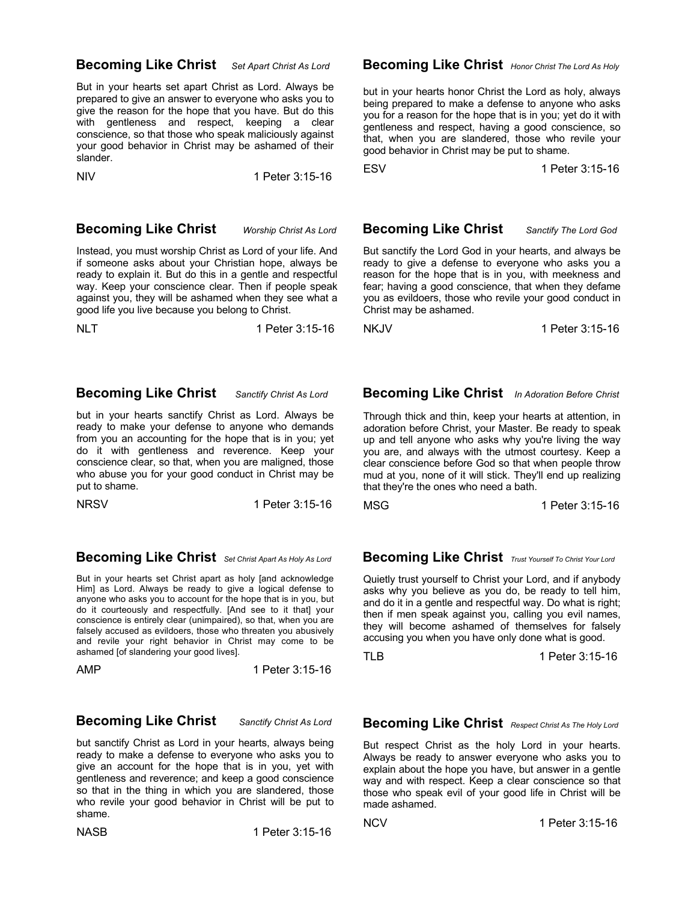### **Becoming Like Christ** *Set Apart Christ As Lord*

But in your hearts set apart Christ as Lord. Always be prepared to give an answer to everyone who asks you to give the reason for the hope that you have. But do this with gentleness and respect, keeping a clear conscience, so that those who speak maliciously against your good behavior in Christ may be ashamed of their slander.

NIV 1 Peter 3:15-16

### **Becoming Like Christ** *Worship Christ As Lord*

Instead, you must worship Christ as Lord of your life. And if someone asks about your Christian hope, always be ready to explain it. But do this in a gentle and respectful way. Keep your conscience clear. Then if people speak against you, they will be ashamed when they see what a good life you live because you belong to Christ.

NLT 1 Peter 3:15-16

### **Becoming Like Christ** *Sanctify Christ As Lord*

but in your hearts sanctify Christ as Lord. Always be ready to make your defense to anyone who demands from you an accounting for the hope that is in you; yet do it with gentleness and reverence. Keep your conscience clear, so that, when you are maligned, those who abuse you for your good conduct in Christ may be put to shame.

NRSV 1 Peter 3:15-16

### **Becoming Like Christ** *Set Christ Apart As Holy As Lord*

But in your hearts set Christ apart as holy [and acknowledge Him] as Lord. Always be ready to give a logical defense to anyone who asks you to account for the hope that is in you, but do it courteously and respectfully. [And see to it that] your conscience is entirely clear (unimpaired), so that, when you are falsely accused as evildoers, those who threaten you abusively and revile your right behavior in Christ may come to be ashamed [of slandering your good lives].

AMP 1 Peter 3:15-16

### **Becoming Like Christ** *Sanctify Christ As Lord*

but sanctify Christ as Lord in your hearts, always being ready to make a defense to everyone who asks you to give an account for the hope that is in you, yet with gentleness and reverence; and keep a good conscience so that in the thing in which you are slandered, those who revile your good behavior in Christ will be put to shame.

NASB 1 Peter 3:15-16

#### **Becoming Like Christ** *Honor Christ The Lord As Holy*

but in your hearts honor Christ the Lord as holy, always being prepared to make a defense to anyone who asks you for a reason for the hope that is in you; yet do it with gentleness and respect, having a good conscience, so that, when you are slandered, those who revile your good behavior in Christ may be put to shame.

ESV 1 Peter 3:15-16

 **Becoming Like Christ** *Sanctify The Lord God*

But sanctify the Lord God in your hearts, and always be ready to give a defense to everyone who asks you a reason for the hope that is in you, with meekness and fear; having a good conscience, that when they defame you as evildoers, those who revile your good conduct in Christ may be ashamed.

NKJV 1 Peter 3:15-16

### **Becoming Like Christ** *In Adoration Before Christ*

Through thick and thin, keep your hearts at attention, in adoration before Christ, your Master. Be ready to speak up and tell anyone who asks why you're living the way you are, and always with the utmost courtesy. Keep a clear conscience before God so that when people throw mud at you, none of it will stick. They'll end up realizing that they're the ones who need a bath.

MSG 1 Peter 3:15-16

## **Becoming Like Christ** *Trust Yourself To Christ Your Lord*

Quietly trust yourself to Christ your Lord, and if anybody asks why you believe as you do, be ready to tell him, and do it in a gentle and respectful way. Do what is right; then if men speak against you, calling you evil names, they will become ashamed of themselves for falsely accusing you when you have only done what is good.

TLB 1 Peter 3:15-16

 **Becoming Like Christ** *Respect Christ As The Holy Lord*

But respect Christ as the holy Lord in your hearts. Always be ready to answer everyone who asks you to explain about the hope you have, but answer in a gentle way and with respect. Keep a clear conscience so that those who speak evil of your good life in Christ will be made ashamed.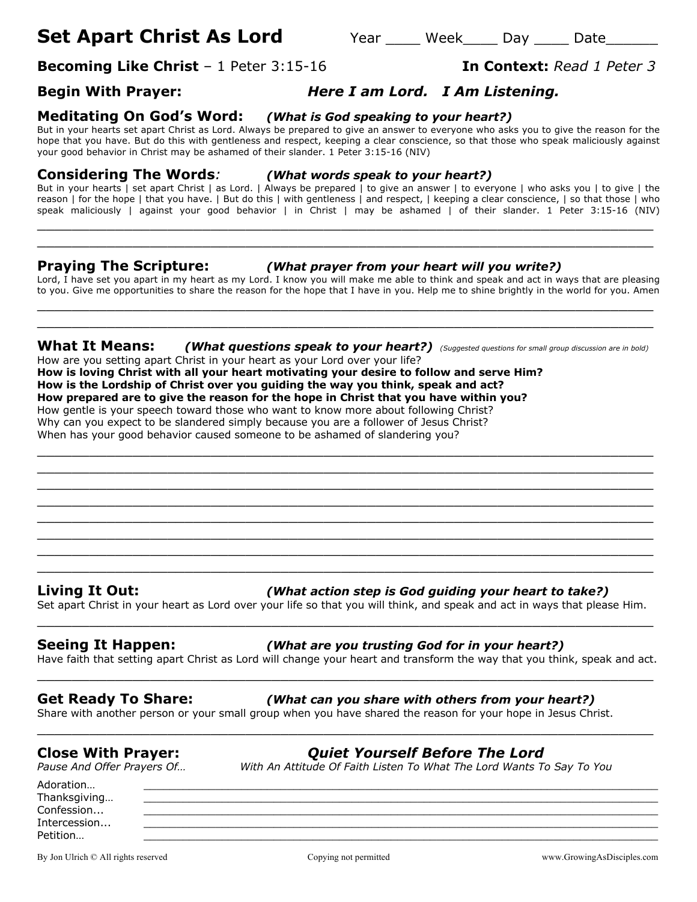# **Set Apart Christ As Lord** Year Meek Day Date

**Becoming Like Christ** – 1 Peter 3:15-16 **In Context:** *Read 1 Peter 3*

## **Begin With Prayer:** *Here I am Lord. I Am Listening.*

# **Meditating On God's Word:** *(What is God speaking to your heart?)*

But in your hearts set apart Christ as Lord. Always be prepared to give an answer to everyone who asks you to give the reason for the hope that you have. But do this with gentleness and respect, keeping a clear conscience, so that those who speak maliciously against your good behavior in Christ may be ashamed of their slander. 1 Peter 3:15-16 (NIV)

### **Considering The Words***: (What words speak to your heart?)*

But in your hearts | set apart Christ | as Lord. | Always be prepared | to give an answer | to everyone | who asks you | to give | the reason | for the hope | that you have. | But do this | with gentleness | and respect, | keeping a clear conscience, | so that those | who speak maliciously | against your good behavior | in Christ | may be ashamed | of their slander. 1 Peter 3:15-16 (NIV)

 $\_$  , and the contribution of the contribution of  $\mathcal{L}$  , and  $\mathcal{L}$  , and  $\mathcal{L}$  , and  $\mathcal{L}$  , and  $\mathcal{L}$  , and  $\mathcal{L}$  , and  $\mathcal{L}$  , and  $\mathcal{L}$  , and  $\mathcal{L}$  , and  $\mathcal{L}$  , and  $\mathcal{L}$  , and  $\mathcal{L$ \_\_\_\_\_\_\_\_\_\_\_\_\_\_\_\_\_\_\_\_\_\_\_\_\_\_\_\_\_\_\_\_\_\_\_\_\_\_\_\_\_\_\_\_\_\_\_\_\_\_\_\_\_\_\_\_\_\_\_\_\_\_\_\_\_\_\_\_\_\_\_

### **Praying The Scripture:** *(What prayer from your heart will you write?)*

Lord, I have set you apart in my heart as my Lord. I know you will make me able to think and speak and act in ways that are pleasing to you. Give me opportunities to share the reason for the hope that I have in you. Help me to shine brightly in the world for you. Amen  $\_$  , and the set of the set of the set of the set of the set of the set of the set of the set of the set of the set of the set of the set of the set of the set of the set of the set of the set of the set of the set of th

**What It Means:** *(What questions speak to your heart?) (Suggested questions for small group discussion are in bold)* How are you setting apart Christ in your heart as your Lord over your life?

 $\_$  . The contribution of the contribution of  $\mathcal{L}$  ,  $\mathcal{L}$  ,  $\mathcal{L}$  ,  $\mathcal{L}$  ,  $\mathcal{L}$  ,  $\mathcal{L}$  ,  $\mathcal{L}$  ,  $\mathcal{L}$  ,  $\mathcal{L}$  ,  $\mathcal{L}$  ,  $\mathcal{L}$  ,  $\mathcal{L}$  ,  $\mathcal{L}$  ,  $\mathcal{L}$  ,  $\mathcal{L}$  ,  $\mathcal{L}$  , \_\_\_\_\_\_\_\_\_\_\_\_\_\_\_\_\_\_\_\_\_\_\_\_\_\_\_\_\_\_\_\_\_\_\_\_\_\_\_\_\_\_\_\_\_\_\_\_\_\_\_\_\_\_\_\_\_\_\_\_\_\_\_\_\_\_\_\_\_\_\_  $\_$  , and the contribution of the contribution of  $\mathcal{L}$  , and  $\mathcal{L}$  , and  $\mathcal{L}$  , and  $\mathcal{L}$  , and  $\mathcal{L}$  , and  $\mathcal{L}$  , and  $\mathcal{L}$  , and  $\mathcal{L}$  , and  $\mathcal{L}$  , and  $\mathcal{L}$  , and  $\mathcal{L}$  , and  $\mathcal{L$  $\_$  . The contribution of the contribution of  $\mathcal{L}_1$  ,  $\mathcal{L}_2$  ,  $\mathcal{L}_3$  ,  $\mathcal{L}_4$  ,  $\mathcal{L}_5$  ,  $\mathcal{L}_6$  ,  $\mathcal{L}_7$  ,  $\mathcal{L}_8$  ,  $\mathcal{L}_9$  ,  $\mathcal{L}_1$  ,  $\mathcal{L}_2$  ,  $\mathcal{L}_3$  ,  $\mathcal{L}_5$  ,  $\mathcal{L}_6$  ,  $\mathcal{L}_$ \_\_\_\_\_\_\_\_\_\_\_\_\_\_\_\_\_\_\_\_\_\_\_\_\_\_\_\_\_\_\_\_\_\_\_\_\_\_\_\_\_\_\_\_\_\_\_\_\_\_\_\_\_\_\_\_\_\_\_\_\_\_\_\_\_\_\_\_\_\_\_  $\_$  , and the contribution of the contribution of  $\mathcal{L}$  , and  $\mathcal{L}$  , and  $\mathcal{L}$  , and  $\mathcal{L}$  , and  $\mathcal{L}$  , and  $\mathcal{L}$  , and  $\mathcal{L}$  , and  $\mathcal{L}$  , and  $\mathcal{L}$  , and  $\mathcal{L}$  , and  $\mathcal{L}$  , and  $\mathcal{L$  $\_$  , and the contribution of the contribution of  $\mathcal{L}$  , and  $\mathcal{L}$  , and  $\mathcal{L}$  , and  $\mathcal{L}$  , and  $\mathcal{L}$  , and  $\mathcal{L}$  , and  $\mathcal{L}$  , and  $\mathcal{L}$  , and  $\mathcal{L}$  , and  $\mathcal{L}$  , and  $\mathcal{L}$  , and  $\mathcal{L$  $\_$  . The contribution of the contribution of  $\mathcal{L}_1$  ,  $\mathcal{L}_2$  ,  $\mathcal{L}_3$  ,  $\mathcal{L}_4$  ,  $\mathcal{L}_5$  ,  $\mathcal{L}_6$  ,  $\mathcal{L}_7$  ,  $\mathcal{L}_8$  ,  $\mathcal{L}_9$  ,  $\mathcal{L}_1$  ,  $\mathcal{L}_2$  ,  $\mathcal{L}_3$  ,  $\mathcal{L}_5$  ,  $\mathcal{L}_6$  ,  $\mathcal{L}_$ 

 $\_$  , and the set of the set of the set of the set of the set of the set of the set of the set of the set of the set of the set of the set of the set of the set of the set of the set of the set of the set of the set of th

**How is loving Christ with all your heart motivating your desire to follow and serve Him? How is the Lordship of Christ over you guiding the way you think, speak and act? How prepared are to give the reason for the hope in Christ that you have within you?** How gentle is your speech toward those who want to know more about following Christ? Why can you expect to be slandered simply because you are a follower of Jesus Christ? When has your good behavior caused someone to be ashamed of slandering you?

**Living It Out:** *(What action step is God guiding your heart to take?)*

Set apart Christ in your heart as Lord over your life so that you will think, and speak and act in ways that please Him. \_\_\_\_\_\_\_\_\_\_\_\_\_\_\_\_\_\_\_\_\_\_\_\_\_\_\_\_\_\_\_\_\_\_\_\_\_\_\_\_\_\_\_\_\_\_\_\_\_\_\_\_\_\_\_\_\_\_\_\_\_\_\_\_\_\_\_\_\_\_\_

### **Seeing It Happen:** *(What are you trusting God for in your heart?)*

Have faith that setting apart Christ as Lord will change your heart and transform the way that you think, speak and act. \_\_\_\_\_\_\_\_\_\_\_\_\_\_\_\_\_\_\_\_\_\_\_\_\_\_\_\_\_\_\_\_\_\_\_\_\_\_\_\_\_\_\_\_\_\_\_\_\_\_\_\_\_\_\_\_\_\_\_\_\_\_\_\_\_\_\_\_\_\_\_

\_\_\_\_\_\_\_\_\_\_\_\_\_\_\_\_\_\_\_\_\_\_\_\_\_\_\_\_\_\_\_\_\_\_\_\_\_\_\_\_\_\_\_\_\_\_\_\_\_\_\_\_\_\_\_\_\_\_\_\_\_\_\_\_\_\_\_\_\_\_\_

Adoration… \_\_\_\_\_\_\_\_\_\_\_\_\_\_\_\_\_\_\_\_\_\_\_\_\_\_\_\_\_\_\_\_\_\_\_\_\_\_\_\_\_\_\_\_\_\_\_\_\_\_\_\_\_\_\_\_\_\_\_\_\_\_\_\_\_\_\_\_\_\_\_\_\_\_\_\_\_\_\_

#### **Get Ready To Share:** *(What can you share with others from your heart?)*

Share with another person or your small group when you have shared the reason for your hope in Jesus Christ.

**Close With Prayer:** *Quiet Yourself Before The Lord Pause And Offer Prayers Of… With An Attitude Of Faith Listen To What The Lord Wants To Say To You*

Confession... \_\_\_\_\_\_\_\_\_\_\_\_\_\_\_\_\_\_\_\_\_\_\_\_\_\_\_\_\_\_\_\_\_\_\_\_\_\_\_\_\_\_\_\_\_\_\_\_\_\_\_\_\_\_\_\_\_\_\_\_\_\_\_\_\_\_\_\_\_\_\_\_\_\_\_\_\_\_\_ Intercession... \_\_\_\_\_\_\_\_\_\_\_\_\_\_\_\_\_\_\_\_\_\_\_\_\_\_\_\_\_\_\_\_\_\_\_\_\_\_\_\_\_\_\_\_\_\_\_\_\_\_\_\_\_\_\_\_\_\_\_\_\_\_\_\_\_\_\_\_\_\_\_\_\_\_\_\_\_\_\_ Petition… \_\_\_\_\_\_\_\_\_\_\_\_\_\_\_\_\_\_\_\_\_\_\_\_\_\_\_\_\_\_\_\_\_\_\_\_\_\_\_\_\_\_\_\_\_\_\_\_\_\_\_\_\_\_\_\_\_\_\_\_\_\_\_\_\_\_\_\_\_\_\_\_\_\_\_\_\_\_\_

Thanksgiving...

By Jon Ulrich © All rights reserved copying not permitted www.GrowingAsDisciples.com